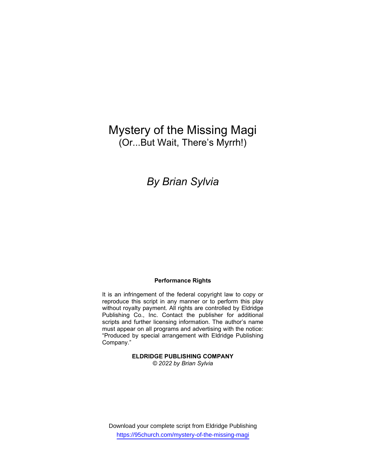# Mystery of the Missing Magi (Or...But Wait, There's Myrrh!)

## By Brian Sylvia

### Performance Rights

It is an infringement of the federal copyright law to copy or reproduce this script in any manner or to perform this play without royalty payment. All rights are controlled by Eldridge Publishing Co., Inc. Contact the publisher for additional scripts and further licensing information. The author's name must appear on all programs and advertising with the notice: "Produced by special arrangement with Eldridge Publishing Company."

> ELDRIDGE PUBLISHING COMPANY © 2022 by Brian Sylvia

Download your complete script from Eldridge Publishing https://95church.com/mystery-of-the-missing-magi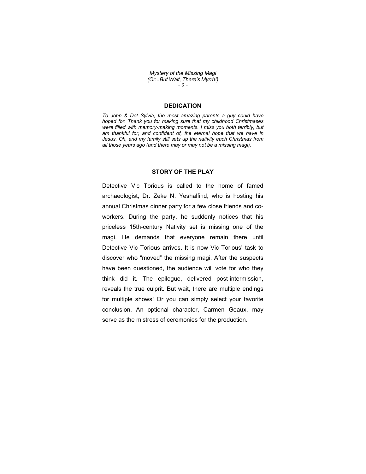Mystery of the Missing Magi (Or...But Wait, There's Myrrh!) - 2 -

## **DEDICATION**

To John & Dot Sylvia, the most amazing parents a guy could have hoped for. Thank you for making sure that my childhood Christmases were filled with memory-making moments. I miss you both terribly, but am thankful for, and confident of, the eternal hope that we have in Jesus. Oh, and my family still sets up the nativity each Christmas from all those years ago (and there may or may not be a missing magi).

## STORY OF THE PLAY

Detective Vic Torious is called to the home of famed archaeologist, Dr. Zeke N. Yeshalfind, who is hosting his annual Christmas dinner party for a few close friends and coworkers. During the party, he suddenly notices that his priceless 15th-century Nativity set is missing one of the magi. He demands that everyone remain there until Detective Vic Torious arrives. It is now Vic Torious' task to discover who "moved" the missing magi. After the suspects have been questioned, the audience will vote for who they think did it. The epilogue, delivered post-intermission, reveals the true culprit. But wait, there are multiple endings for multiple shows! Or you can simply select your favorite conclusion. An optional character, Carmen Geaux, may serve as the mistress of ceremonies for the production.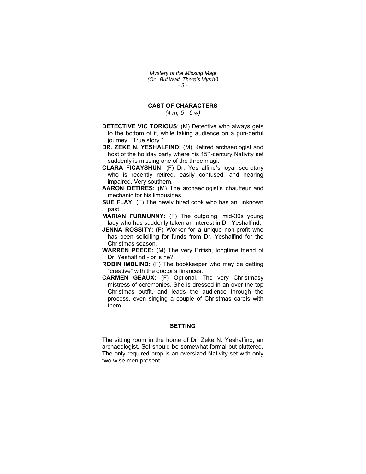Mystery of the Missing Magi (Or...But Wait, There's Myrrh!) - 3 -

## CAST OF CHARACTERS

 $(4 m, 5 - 6 w)$ 

- DETECTIVE VIC TORIOUS: (M) Detective who always gets to the bottom of it, while taking audience on a pun-derful journey. "True story."
- DR. ZEKE N. YESHALFIND: (M) Retired archaeologist and host of the holiday party where his 15<sup>th</sup>-century Nativity set suddenly is missing one of the three magi.
- CLARA FICAYSHUN: (F) Dr. Yeshalfind's loyal secretary who is recently retired, easily confused, and hearing impaired. Very southern.
- AARON DETIRES: (M) The archaeologist's chauffeur and mechanic for his limousines.
- **SUE FLAY:** (F) The newly hired cook who has an unknown past.
- MARIAN FURMUNNY: (F) The outgoing, mid-30s young lady who has suddenly taken an interest in Dr. Yeshalfind.
- JENNA ROSSITY: (F) Worker for a unique non-profit who has been soliciting for funds from Dr. Yeshalfind for the Christmas season.
- WARREN PEECE: (M) The very British, longtime friend of Dr. Yeshalfind - or is he?
- ROBIN IMBLIND: (F) The bookkeeper who may be getting "creative" with the doctor's finances.
- CARMEN GEAUX: (F) Optional. The very Christmasy mistress of ceremonies. She is dressed in an over-the-top Christmas outfit, and leads the audience through the process, even singing a couple of Christmas carols with them.

## SETTING

The sitting room in the home of Dr. Zeke N. Yeshalfind, an archaeologist. Set should be somewhat formal but cluttered. The only required prop is an oversized Nativity set with only two wise men present.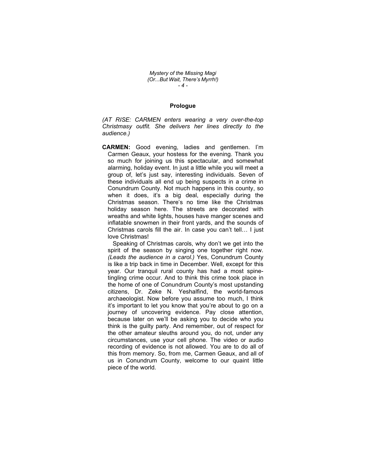Mystery of the Missing Magi (Or...But Wait, There's Myrrh!)  $-4-$ 

## Prologue

(AT RISE: CARMEN enters wearing a very over-the-top Christmasy outfit. She delivers her lines directly to the audience.)

CARMEN: Good evening, ladies and gentlemen. I'm Carmen Geaux, your hostess for the evening. Thank you so much for joining us this spectacular, and somewhat alarming, holiday event. In just a little while you will meet a group of, let's just say, interesting individuals. Seven of these individuals all end up being suspects in a crime in Conundrum County. Not much happens in this county, so when it does, it's a big deal, especially during the Christmas season. There's no time like the Christmas holiday season here. The streets are decorated with wreaths and white lights, houses have manger scenes and inflatable snowmen in their front yards, and the sounds of Christmas carols fill the air. In case you can't tell… I just love Christmas!

 Speaking of Christmas carols, why don't we get into the spirit of the season by singing one together right now. (Leads the audience in a carol.) Yes, Conundrum County is like a trip back in time in December. Well, except for this year. Our tranquil rural county has had a most spinetingling crime occur. And to think this crime took place in the home of one of Conundrum County's most upstanding citizens, Dr. Zeke N. Yeshalfind, the world-famous archaeologist. Now before you assume too much, I think it's important to let you know that you're about to go on a journey of uncovering evidence. Pay close attention, because later on we'll be asking you to decide who you think is the guilty party. And remember, out of respect for the other amateur sleuths around you, do not, under any circumstances, use your cell phone. The video or audio recording of evidence is not allowed. You are to do all of this from memory. So, from me, Carmen Geaux, and all of us in Conundrum County, welcome to our quaint little piece of the world.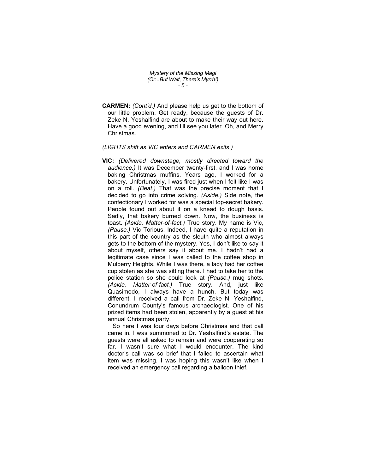Mystery of the Missing Magi (Or...But Wait, There's Myrrh!) - 5 -

- CARMEN: (Cont'd.) And please help us get to the bottom of our little problem. Get ready, because the guests of Dr. Zeke N. Yeshalfind are about to make their way out here. Have a good evening, and I'll see you later. Oh, and Merry Christmas.
- (LIGHTS shift as VIC enters and CARMEN exits.)
- VIC: (Delivered downstage, mostly directed toward the audience.) It was December twenty-first, and I was home baking Christmas muffins. Years ago, I worked for a bakery. Unfortunately, I was fired just when I felt like I was on a roll. (Beat.) That was the precise moment that I decided to go into crime solving. (Aside.) Side note, the confectionary I worked for was a special top-secret bakery. People found out about it on a knead to dough basis. Sadly, that bakery burned down. Now, the business is toast. (Aside. Matter-of-fact.) True story. My name is Vic, (Pause.) Vic Torious. Indeed, I have quite a reputation in this part of the country as the sleuth who almost always gets to the bottom of the mystery. Yes, I don't like to say it about myself, others say it about me. I hadn't had a legitimate case since I was called to the coffee shop in Mulberry Heights. While I was there, a lady had her coffee cup stolen as she was sitting there. I had to take her to the police station so she could look at (Pause.) mug shots. (Aside. Matter-of-fact.) True story. And, just like Quasimodo, I always have a hunch. But today was different. I received a call from Dr. Zeke N. Yeshalfind, Conundrum County's famous archaeologist. One of his prized items had been stolen, apparently by a guest at his annual Christmas party.

 So here I was four days before Christmas and that call came in. I was summoned to Dr. Yeshalfind's estate. The guests were all asked to remain and were cooperating so far. I wasn't sure what I would encounter. The kind doctor's call was so brief that I failed to ascertain what item was missing. I was hoping this wasn't like when I received an emergency call regarding a balloon thief.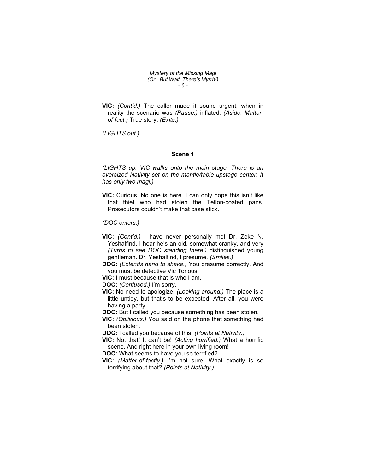Mystery of the Missing Magi (Or...But Wait, There's Myrrh!) - 6 -

VIC: (Cont'd.) The caller made it sound urgent, when in reality the scenario was (Pause.) inflated. (Aside. Matterof-fact.) True story. (Exits.)

(LIGHTS out.)

#### Scene 1

(LIGHTS up. VIC walks onto the main stage. There is an oversized Nativity set on the mantle/table upstage center. It has only two magi.)

VIC: Curious. No one is here. I can only hope this isn't like that thief who had stolen the Teflon-coated pans. Prosecutors couldn't make that case stick.

(DOC enters.)

- VIC: (Cont'd.) I have never personally met Dr. Zeke N. Yeshalfind. I hear he's an old, somewhat cranky, and very (Turns to see DOC standing there.) distinguished young gentleman. Dr. Yeshalfind, I presume. (Smiles.)
- DOC: (Extends hand to shake.) You presume correctly. And you must be detective Vic Torious.
- VIC: I must because that is who I am.

DOC: (Confused.) I'm sorry.

VIC: No need to apologize. (Looking around.) The place is a little untidy, but that's to be expected. After all, you were having a party.

DOC: But I called you because something has been stolen.

VIC: (Oblivious.) You said on the phone that something had been stolen.

DOC: I called you because of this. (Points at Nativity.)

VIC: Not that! It can't be! (Acting horrified.) What a horrific scene. And right here in your own living room!

DOC: What seems to have you so terrified?

VIC: (Matter-of-factly.) I'm not sure. What exactly is so terrifying about that? (Points at Nativity.)